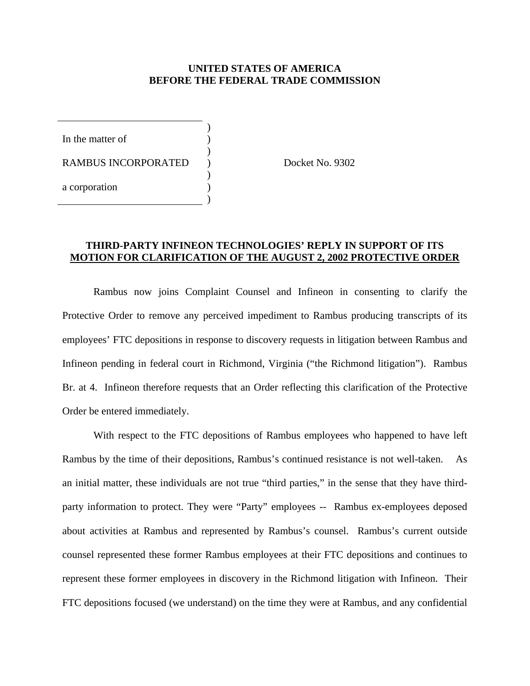## **UNITED STATES OF AMERICA BEFORE THE FEDERAL TRADE COMMISSION**

In the matter of

RAMBUS INCORPORATED ) Docket No. 9302

 $\overline{\phantom{a}}$ 

 $\overline{\phantom{a}}$ 

 $\overline{\phantom{a}}$ 

 $\overline{\phantom{a}}$ 

a corporation )

# **THIRD-PARTY INFINEON TECHNOLOGIES' REPLY IN SUPPORT OF ITS MOTION FOR CLARIFICATION OF THE AUGUST 2, 2002 PROTECTIVE ORDER**

 Rambus now joins Complaint Counsel and Infineon in consenting to clarify the Protective Order to remove any perceived impediment to Rambus producing transcripts of its employees' FTC depositions in response to discovery requests in litigation between Rambus and Infineon pending in federal court in Richmond, Virginia ("the Richmond litigation"). Rambus Br. at 4. Infineon therefore requests that an Order reflecting this clarification of the Protective Order be entered immediately.

 With respect to the FTC depositions of Rambus employees who happened to have left Rambus by the time of their depositions, Rambus's continued resistance is not well-taken. As an initial matter, these individuals are not true "third parties," in the sense that they have thirdparty information to protect. They were "Party" employees -- Rambus ex-employees deposed about activities at Rambus and represented by Rambus's counsel. Rambus's current outside counsel represented these former Rambus employees at their FTC depositions and continues to represent these former employees in discovery in the Richmond litigation with Infineon. Their FTC depositions focused (we understand) on the time they were at Rambus, and any confidential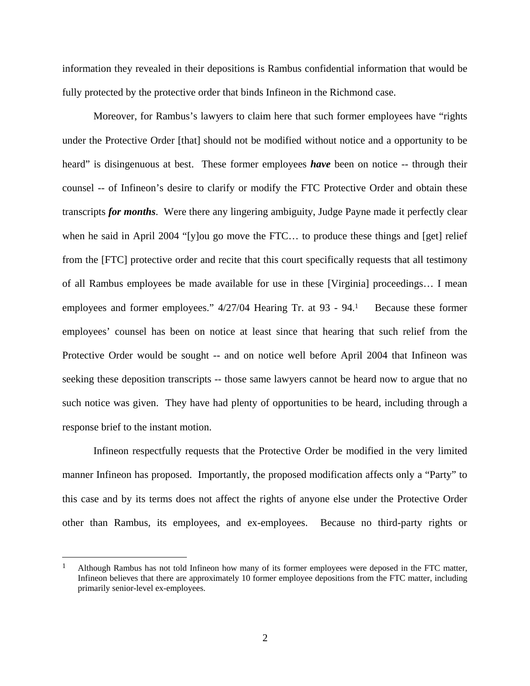information they revealed in their depositions is Rambus confidential information that would be fully protected by the protective order that binds Infineon in the Richmond case.

 Moreover, for Rambus's lawyers to claim here that such former employees have "rights under the Protective Order [that] should not be modified without notice and a opportunity to be heard" is disingenuous at best. These former employees *have* been on notice -- through their counsel -- of Infineon's desire to clarify or modify the FTC Protective Order and obtain these transcripts *for months*. Were there any lingering ambiguity, Judge Payne made it perfectly clear when he said in April 2004 "[y]ou go move the FTC… to produce these things and [get] relief from the [FTC] protective order and recite that this court specifically requests that all testimony of all Rambus employees be made available for use in these [Virginia] proceedings… I mean employees and former employees."  $4/27/04$  Hearing Tr. at 93 - 94.<sup>1</sup> Because these former employees' counsel has been on notice at least since that hearing that such relief from the Protective Order would be sought -- and on notice well before April 2004 that Infineon was seeking these deposition transcripts -- those same lawyers cannot be heard now to argue that no such notice was given. They have had plenty of opportunities to be heard, including through a response brief to the instant motion.

 Infineon respectfully requests that the Protective Order be modified in the very limited manner Infineon has proposed. Importantly, the proposed modification affects only a "Party" to this case and by its terms does not affect the rights of anyone else under the Protective Order other than Rambus, its employees, and ex-employees. Because no third-party rights or

 $\overline{a}$ 

<sup>&</sup>lt;sup>1</sup> Although Rambus has not told Infineon how many of its former employees were deposed in the FTC matter, Infineon believes that there are approximately 10 former employee depositions from the FTC matter, including primarily senior-level ex-employees.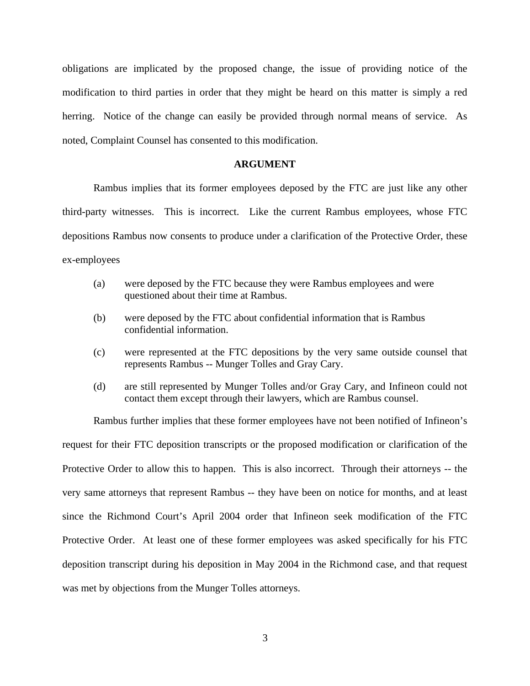obligations are implicated by the proposed change, the issue of providing notice of the modification to third parties in order that they might be heard on this matter is simply a red herring. Notice of the change can easily be provided through normal means of service. As noted, Complaint Counsel has consented to this modification.

#### **ARGUMENT**

 Rambus implies that its former employees deposed by the FTC are just like any other third-party witnesses. This is incorrect. Like the current Rambus employees, whose FTC depositions Rambus now consents to produce under a clarification of the Protective Order, these ex-employees

- (a) were deposed by the FTC because they were Rambus employees and were questioned about their time at Rambus.
- (b) were deposed by the FTC about confidential information that is Rambus confidential information.
- (c) were represented at the FTC depositions by the very same outside counsel that represents Rambus -- Munger Tolles and Gray Cary.
- (d) are still represented by Munger Tolles and/or Gray Cary, and Infineon could not contact them except through their lawyers, which are Rambus counsel.

 Rambus further implies that these former employees have not been notified of Infineon's request for their FTC deposition transcripts or the proposed modification or clarification of the Protective Order to allow this to happen. This is also incorrect. Through their attorneys -- the very same attorneys that represent Rambus -- they have been on notice for months, and at least since the Richmond Court's April 2004 order that Infineon seek modification of the FTC Protective Order. At least one of these former employees was asked specifically for his FTC deposition transcript during his deposition in May 2004 in the Richmond case, and that request was met by objections from the Munger Tolles attorneys.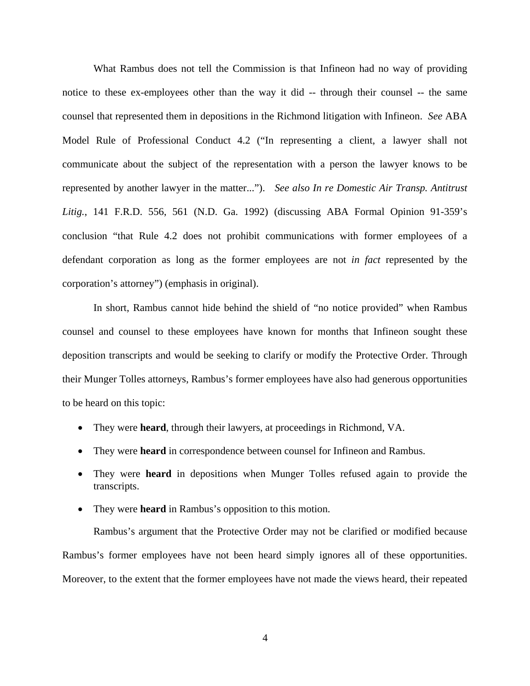What Rambus does not tell the Commission is that Infineon had no way of providing notice to these ex-employees other than the way it did -- through their counsel -- the same counsel that represented them in depositions in the Richmond litigation with Infineon. *See* ABA Model Rule of Professional Conduct 4.2 ("In representing a client, a lawyer shall not communicate about the subject of the representation with a person the lawyer knows to be represented by another lawyer in the matter..."). *See also In re Domestic Air Transp. Antitrust Litig.*, 141 F.R.D. 556, 561 (N.D. Ga. 1992) (discussing ABA Formal Opinion 91-359's conclusion "that Rule 4.2 does not prohibit communications with former employees of a defendant corporation as long as the former employees are not *in fact* represented by the corporation's attorney") (emphasis in original).

 In short, Rambus cannot hide behind the shield of "no notice provided" when Rambus counsel and counsel to these employees have known for months that Infineon sought these deposition transcripts and would be seeking to clarify or modify the Protective Order. Through their Munger Tolles attorneys, Rambus's former employees have also had generous opportunities to be heard on this topic:

- They were **heard**, through their lawyers, at proceedings in Richmond, VA.
- They were **heard** in correspondence between counsel for Infineon and Rambus.
- They were **heard** in depositions when Munger Tolles refused again to provide the transcripts.
- They were **heard** in Rambus's opposition to this motion.

 Rambus's argument that the Protective Order may not be clarified or modified because Rambus's former employees have not been heard simply ignores all of these opportunities. Moreover, to the extent that the former employees have not made the views heard, their repeated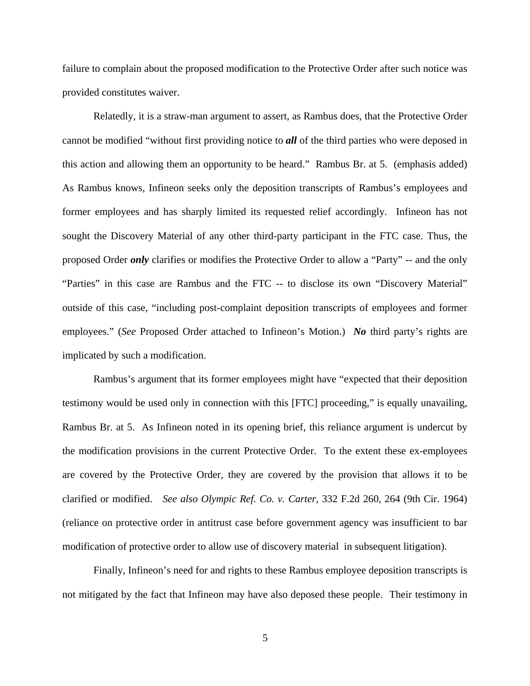failure to complain about the proposed modification to the Protective Order after such notice was provided constitutes waiver.

 Relatedly, it is a straw-man argument to assert, as Rambus does, that the Protective Order cannot be modified "without first providing notice to *all* of the third parties who were deposed in this action and allowing them an opportunity to be heard." Rambus Br. at 5. (emphasis added) As Rambus knows, Infineon seeks only the deposition transcripts of Rambus's employees and former employees and has sharply limited its requested relief accordingly. Infineon has not sought the Discovery Material of any other third-party participant in the FTC case. Thus, the proposed Order *only* clarifies or modifies the Protective Order to allow a "Party" -- and the only "Parties" in this case are Rambus and the FTC -- to disclose its own "Discovery Material" outside of this case, "including post-complaint deposition transcripts of employees and former employees." (*See* Proposed Order attached to Infineon's Motion.) *No* third party's rights are implicated by such a modification.

 Rambus's argument that its former employees might have "expected that their deposition testimony would be used only in connection with this [FTC] proceeding," is equally unavailing, Rambus Br. at 5. As Infineon noted in its opening brief, this reliance argument is undercut by the modification provisions in the current Protective Order. To the extent these ex-employees are covered by the Protective Order, they are covered by the provision that allows it to be clarified or modified. *See also Olympic Ref. Co. v. Carter*, 332 F.2d 260, 264 (9th Cir. 1964) (reliance on protective order in antitrust case before government agency was insufficient to bar modification of protective order to allow use of discovery material in subsequent litigation).

 Finally, Infineon's need for and rights to these Rambus employee deposition transcripts is not mitigated by the fact that Infineon may have also deposed these people. Their testimony in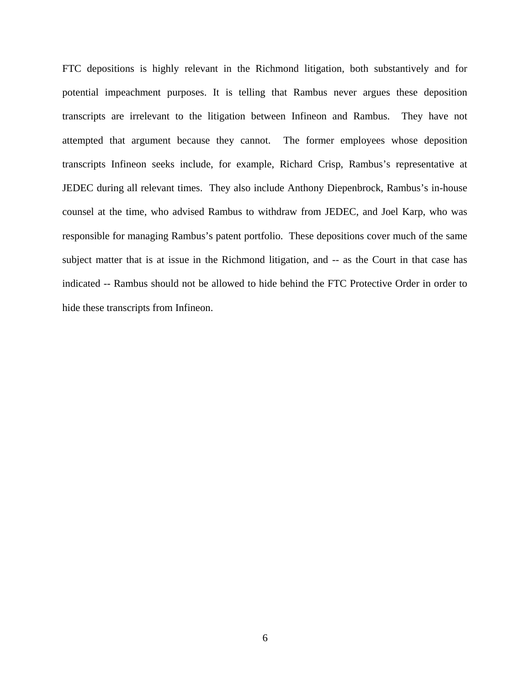FTC depositions is highly relevant in the Richmond litigation, both substantively and for potential impeachment purposes. It is telling that Rambus never argues these deposition transcripts are irrelevant to the litigation between Infineon and Rambus. They have not attempted that argument because they cannot. The former employees whose deposition transcripts Infineon seeks include, for example, Richard Crisp, Rambus's representative at JEDEC during all relevant times. They also include Anthony Diepenbrock, Rambus's in-house counsel at the time, who advised Rambus to withdraw from JEDEC, and Joel Karp, who was responsible for managing Rambus's patent portfolio. These depositions cover much of the same subject matter that is at issue in the Richmond litigation, and -- as the Court in that case has indicated -- Rambus should not be allowed to hide behind the FTC Protective Order in order to hide these transcripts from Infineon.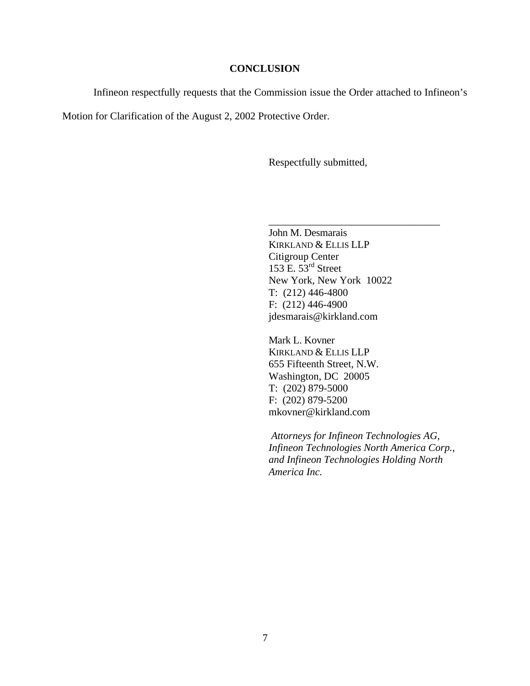### **CONCLUSION**

Infineon respectfully requests that the Commission issue the Order attached to Infineon's

Motion for Clarification of the August 2, 2002 Protective Order.

Respectfully submitted,

John M. Desmarais KIRKLAND & ELLIS LLP Citigroup Center 153 E.  $53<sup>rd</sup>$  Street New York, New York 10022 T: (212) 446-4800 F: (212) 446-4900 jdesmarais@kirkland.com

\_\_\_\_\_\_\_\_\_\_\_\_\_\_\_\_\_\_\_\_\_\_\_\_\_\_\_\_\_\_\_\_\_

Mark L. Kovner KIRKLAND & ELLIS LLP 655 Fifteenth Street, N.W. Washington, DC 20005 T: (202) 879-5000 F: (202) 879-5200 mkovner@kirkland.com

 *Attorneys for Infineon Technologies AG, Infineon Technologies North America Corp., and Infineon Technologies Holding North America Inc.*